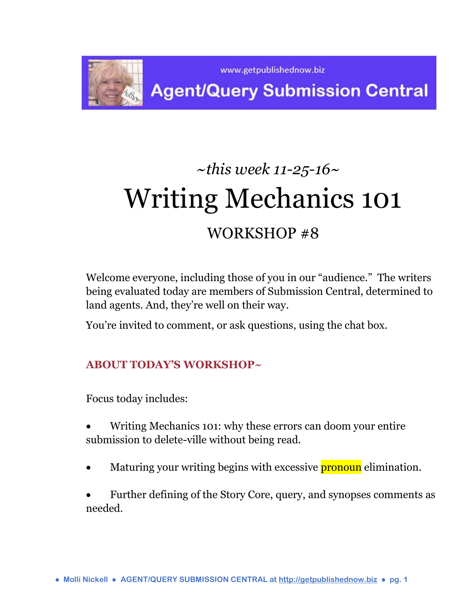

## **Agent/Query Submission Central**

# *~this week 11-25-16~* Writing Mechanics 101 WORKSHOP #8

Welcome everyone, including those of you in our "audience." The writers being evaluated today are members of Submission Central, determined to land agents. And, they're well on their way.

You're invited to comment, or ask questions, using the chat box.

## **ABOUT TODAY'S WORKSHOP~**

Focus today includes:

- Writing Mechanics 101: why these errors can doom your entire submission to delete-ville without being read.
- Maturing your writing begins with excessive **pronoun** elimination.
- Further defining of the Story Core, query, and synopses comments as needed.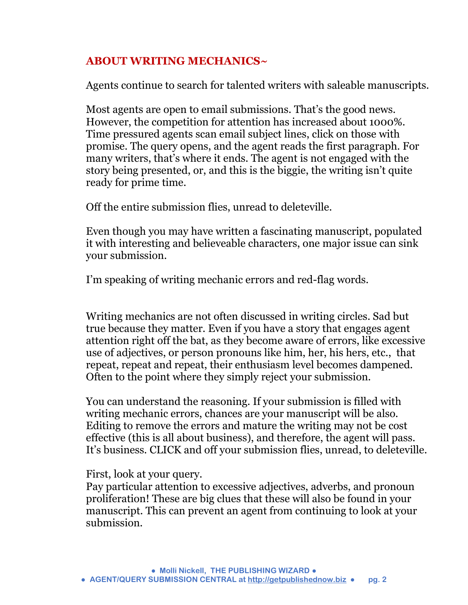## **ABOUT WRITING MECHANICS~**

Agents continue to search for talented writers with saleable manuscripts.

Most agents are open to email submissions. That's the good news. However, the competition for attention has increased about 1000%. Time pressured agents scan email subject lines, click on those with promise. The query opens, and the agent reads the first paragraph. For many writers, that's where it ends. The agent is not engaged with the story being presented, or, and this is the biggie, the writing isn't quite ready for prime time.

Off the entire submission flies, unread to deleteville.

Even though you may have written a fascinating manuscript, populated it with interesting and believeable characters, one major issue can sink your submission.

I'm speaking of writing mechanic errors and red-flag words.

Writing mechanics are not often discussed in writing circles. Sad but true because they matter. Even if you have a story that engages agent attention right off the bat, as they become aware of errors, like excessive use of adjectives, or person pronouns like him, her, his hers, etc., that repeat, repeat and repeat, their enthusiasm level becomes dampened. Often to the point where they simply reject your submission.

You can understand the reasoning. If your submission is filled with writing mechanic errors, chances are your manuscript will be also. Editing to remove the errors and mature the writing may not be cost effective (this is all about business), and therefore, the agent will pass. It's business. CLICK and off your submission flies, unread, to deleteville.

First, look at your query.

Pay particular attention to excessive adjectives, adverbs, and pronoun proliferation! These are big clues that these will also be found in your manuscript. This can prevent an agent from continuing to look at your submission.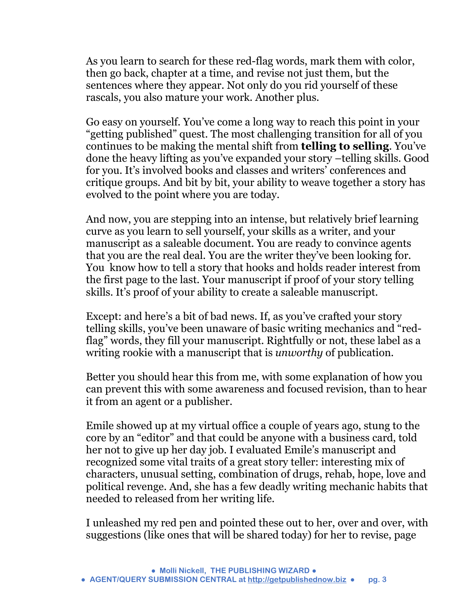As you learn to search for these red-flag words, mark them with color, then go back, chapter at a time, and revise not just them, but the sentences where they appear. Not only do you rid yourself of these rascals, you also mature your work. Another plus.

Go easy on yourself. You've come a long way to reach this point in your "getting published" quest. The most challenging transition for all of you continues to be making the mental shift from **telling to selling**. You've done the heavy lifting as you've expanded your story –telling skills. Good for you. It's involved books and classes and writers' conferences and critique groups. And bit by bit, your ability to weave together a story has evolved to the point where you are today.

And now, you are stepping into an intense, but relatively brief learning curve as you learn to sell yourself, your skills as a writer, and your manuscript as a saleable document. You are ready to convince agents that you are the real deal. You are the writer they've been looking for. You know how to tell a story that hooks and holds reader interest from the first page to the last. Your manuscript if proof of your story telling skills. It's proof of your ability to create a saleable manuscript.

Except: and here's a bit of bad news. If, as you've crafted your story telling skills, you've been unaware of basic writing mechanics and "redflag" words, they fill your manuscript. Rightfully or not, these label as a writing rookie with a manuscript that is *unworthy* of publication.

Better you should hear this from me, with some explanation of how you can prevent this with some awareness and focused revision, than to hear it from an agent or a publisher.

Emile showed up at my virtual office a couple of years ago, stung to the core by an "editor" and that could be anyone with a business card, told her not to give up her day job. I evaluated Emile's manuscript and recognized some vital traits of a great story teller: interesting mix of characters, unusual setting, combination of drugs, rehab, hope, love and political revenge. And, she has a few deadly writing mechanic habits that needed to released from her writing life.

I unleashed my red pen and pointed these out to her, over and over, with suggestions (like ones that will be shared today) for her to revise, page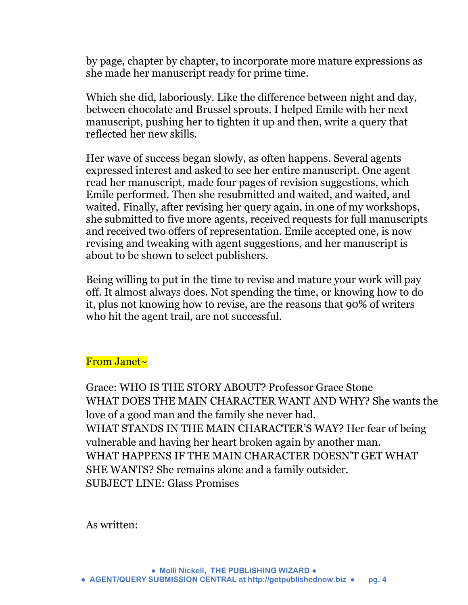by page, chapter by chapter, to incorporate more mature expressions as she made her manuscript ready for prime time.

Which she did, laboriously. Like the difference between night and day, between chocolate and Brussel sprouts. I helped Emile with her next manuscript, pushing her to tighten it up and then, write a query that reflected her new skills.

Her wave of success began slowly, as often happens. Several agents expressed interest and asked to see her entire manuscript. One agent read her manuscript, made four pages of revision suggestions, which Emile performed. Then she resubmitted and waited, and waited, and waited. Finally, after revising her query again, in one of my workshops, she submitted to five more agents, received requests for full manuscripts and received two offers of representation. Emile accepted one, is now revising and tweaking with agent suggestions, and her manuscript is about to be shown to select publishers.

Being willing to put in the time to revise and mature your work will pay off. It almost always does. Not spending the time, or knowing how to do it, plus not knowing how to revise, are the reasons that 90% of writers who hit the agent trail, are not successful.

## From Janet~

Grace: WHO IS THE STORY ABOUT? Professor Grace Stone WHAT DOES THE MAIN CHARACTER WANT AND WHY? She wants the love of a good man and the family she never had. WHAT STANDS IN THE MAIN CHARACTER'S WAY? Her fear of being vulnerable and having her heart broken again by another man. WHAT HAPPENS IF THE MAIN CHARACTER DOESN'T GET WHAT SHE WANTS? She remains alone and a family outsider. SUBJECT LINE: Glass Promises

As written: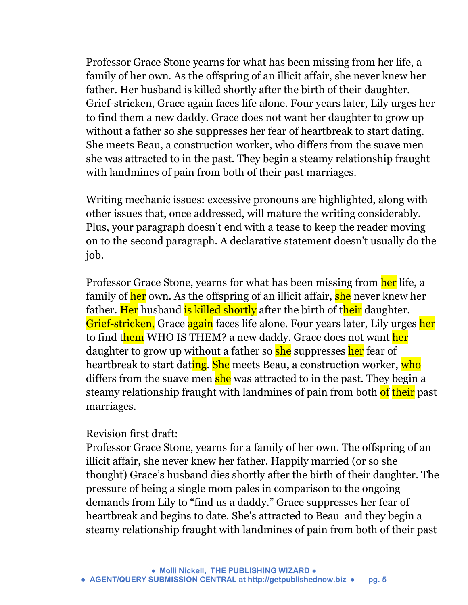Professor Grace Stone yearns for what has been missing from her life, a family of her own. As the offspring of an illicit affair, she never knew her father. Her husband is killed shortly after the birth of their daughter. Grief-stricken, Grace again faces life alone. Four years later, Lily urges her to find them a new daddy. Grace does not want her daughter to grow up without a father so she suppresses her fear of heartbreak to start dating. She meets Beau, a construction worker, who differs from the suave men she was attracted to in the past. They begin a steamy relationship fraught with landmines of pain from both of their past marriages.

Writing mechanic issues: excessive pronouns are highlighted, along with other issues that, once addressed, will mature the writing considerably. Plus, your paragraph doesn't end with a tease to keep the reader moving on to the second paragraph. A declarative statement doesn't usually do the job.

Professor Grace Stone, yearns for what has been missing from her life, a family of her own. As the offspring of an illicit affair, she never knew her father. Her husband is killed shortly after the birth of their daughter. Grief-stricken, Grace again faces life alone. Four years later, Lily urges her to find them WHO IS THEM? a new daddy. Grace does not want her daughter to grow up without a father so she suppresses her fear of heartbreak to start dating. She meets Beau, a construction worker, who differs from the suave men she was attracted to in the past. They begin a steamy relationship fraught with landmines of pain from both of their past marriages.

#### Revision first draft:

Professor Grace Stone, yearns for a family of her own. The offspring of an illicit affair, she never knew her father. Happily married (or so she thought) Grace's husband dies shortly after the birth of their daughter. The pressure of being a single mom pales in comparison to the ongoing demands from Lily to "find us a daddy." Grace suppresses her fear of heartbreak and begins to date. She's attracted to Beau and they begin a steamy relationship fraught with landmines of pain from both of their past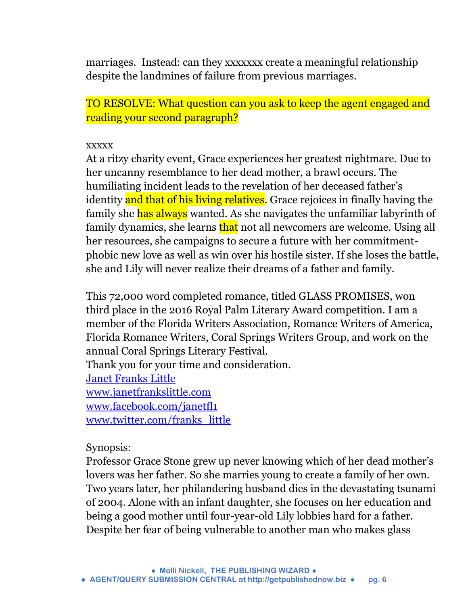marriages. Instead: can they xxxxxxx create a meaningful relationship despite the landmines of failure from previous marriages.

TO RESOLVE: What question can you ask to keep the agent engaged and reading your second paragraph?

#### xxxxx

At a ritzy charity event, Grace experiences her greatest nightmare. Due to her uncanny resemblance to her dead mother, a brawl occurs. The humiliating incident leads to the revelation of her deceased father's identity and that of his living relatives. Grace rejoices in finally having the family she has always wanted. As she navigates the unfamiliar labyrinth of family dynamics, she learns that not all newcomers are welcome. Using all her resources, she campaigns to secure a future with her commitmentphobic new love as well as win over his hostile sister. If she loses the battle, she and Lily will never realize their dreams of a father and family.

This 72,000 word completed romance, titled GLASS PROMISES, won third place in the 2016 Royal Palm Literary Award competition. I am a member of the Florida Writers Association, Romance Writers of America, Florida Romance Writers, Coral Springs Writers Group, and work on the annual Coral Springs Literary Festival. Thank you for your time and consideration. [Janet Franks Little](https://www.facebook.com/janetfrankslittle) [www.janetfrankslittle.com](http://www.janetfrankslittle.com/) [www.facebook.com/janetfl1](http://www.facebook.com/janetfl1) [www.twitter.com/franks\\_little](http://l.facebook.com/l.php?u=http%3A%2F%2Fwww.twitter.com%2Ffranks_little&h=IAQExbwmy&s=1)

## Synopsis:

Professor Grace Stone grew up never knowing which of her dead mother's lovers was her father. So she marries young to create a family of her own. Two years later, her philandering husband dies in the devastating tsunami of 2004. Alone with an infant daughter, she focuses on her education and being a good mother until four-year-old Lily lobbies hard for a father. Despite her fear of being vulnerable to another man who makes glass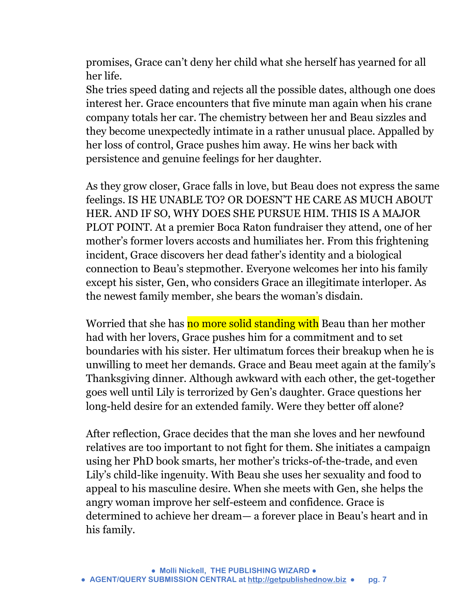promises, Grace can't deny her child what she herself has yearned for all her life.

She tries speed dating and rejects all the possible dates, although one does interest her. Grace encounters that five minute man again when his crane company totals her car. The chemistry between her and Beau sizzles and they become unexpectedly intimate in a rather unusual place. Appalled by her loss of control, Grace pushes him away. He wins her back with persistence and genuine feelings for her daughter.

As they grow closer, Grace falls in love, but Beau does not express the same feelings. IS HE UNABLE TO? OR DOESN'T HE CARE AS MUCH ABOUT HER. AND IF SO, WHY DOES SHE PURSUE HIM. THIS IS A MAJOR PLOT POINT. At a premier Boca Raton fundraiser they attend, one of her mother's former lovers accosts and humiliates her. From this frightening incident, Grace discovers her dead father's identity and a biological connection to Beau's stepmother. Everyone welcomes her into his family except his sister, Gen, who considers Grace an illegitimate interloper. As the newest family member, she bears the woman's disdain.

Worried that she has no more solid standing with Beau than her mother had with her lovers, Grace pushes him for a commitment and to set boundaries with his sister. Her ultimatum forces their breakup when he is unwilling to meet her demands. Grace and Beau meet again at the family's Thanksgiving dinner. Although awkward with each other, the get-together goes well until Lily is terrorized by Gen's daughter. Grace questions her long-held desire for an extended family. Were they better off alone?

After reflection, Grace decides that the man she loves and her newfound relatives are too important to not fight for them. She initiates a campaign using her PhD book smarts, her mother's tricks-of-the-trade, and even Lily's child-like ingenuity. With Beau she uses her sexuality and food to appeal to his masculine desire. When she meets with Gen, she helps the angry woman improve her self-esteem and confidence. Grace is determined to achieve her dream— a forever place in Beau's heart and in his family.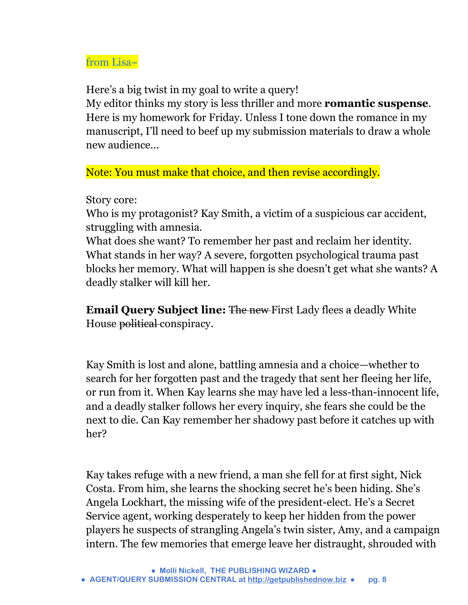## from Lisa~

Here's a big twist in my goal to write a query!

My editor thinks my story is less thriller and more **romantic suspense**. Here is my homework for Friday. Unless I tone down the romance in my manuscript, I'll need to beef up my submission materials to draw a whole new audience...

Note: You must make that choice, and then revise accordingly.

Story core:

Who is my protagonist? Kay Smith, a victim of a suspicious car accident, struggling with amnesia.

What does she want? To remember her past and reclaim her identity. What stands in her way? A severe, forgotten psychological trauma past blocks her memory. What will happen is she doesn't get what she wants? A deadly stalker will kill her.

**Email Query Subject line:** The new First Lady flees a deadly White House political conspiracy.

Kay Smith is lost and alone, battling amnesia and a choice—whether to search for her forgotten past and the tragedy that sent her fleeing her life, or run from it. When Kay learns she may have led a less-than-innocent life, and a deadly stalker follows her every inquiry, she fears she could be the next to die. Can Kay remember her shadowy past before it catches up with her?

Kay takes refuge with a new friend, a man she fell for at first sight, Nick Costa. From him, she learns the shocking secret he's been hiding. She's Angela Lockhart, the missing wife of the president-elect. He's a Secret Service agent, working desperately to keep her hidden from the power players he suspects of strangling Angela's twin sister, Amy, and a campaign intern. The few memories that emerge leave her distraught, shrouded with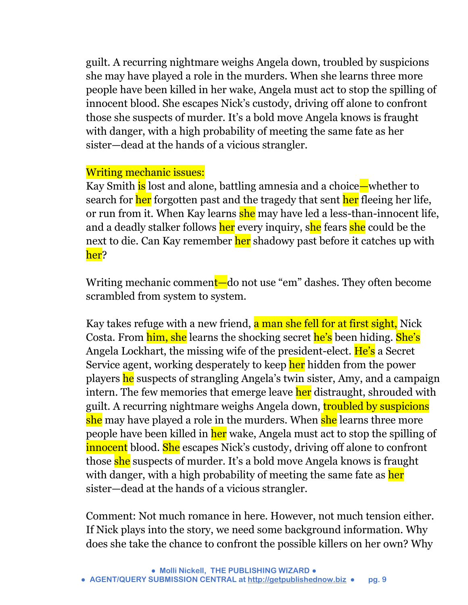guilt. A recurring nightmare weighs Angela down, troubled by suspicions she may have played a role in the murders. When she learns three more people have been killed in her wake, Angela must act to stop the spilling of innocent blood. She escapes Nick's custody, driving off alone to confront those she suspects of murder. It's a bold move Angela knows is fraught with danger, with a high probability of meeting the same fate as her sister—dead at the hands of a vicious strangler.

## Writing mechanic issues:

Kay Smith is lost and alone, battling amnesia and a choice—whether to search for her forgotten past and the tragedy that sent her fleeing her life, or run from it. When Kay learns she may have led a less-than-innocent life, and a deadly stalker follows her every inquiry, she fears she could be the next to die. Can Kay remember her shadowy past before it catches up with her?

Writing mechanic comment—do not use "em" dashes. They often become scrambled from system to system.

Kay takes refuge with a new friend, a man she fell for at first sight. Nick Costa. From him, she learns the shocking secret he's been hiding. She's Angela Lockhart, the missing wife of the president-elect. He's a Secret Service agent, working desperately to keep her hidden from the power players he suspects of strangling Angela's twin sister, Amy, and a campaign intern. The few memories that emerge leave her distraught, shrouded with guilt. A recurring nightmare weighs Angela down, troubled by suspicions she may have played a role in the murders. When she learns three more people have been killed in her wake, Angela must act to stop the spilling of innocent blood. She escapes Nick's custody, driving off alone to confront those she suspects of murder. It's a bold move Angela knows is fraught with danger, with a high probability of meeting the same fate as her sister—dead at the hands of a vicious strangler.

Comment: Not much romance in here. However, not much tension either. If Nick plays into the story, we need some background information. Why does she take the chance to confront the possible killers on her own? Why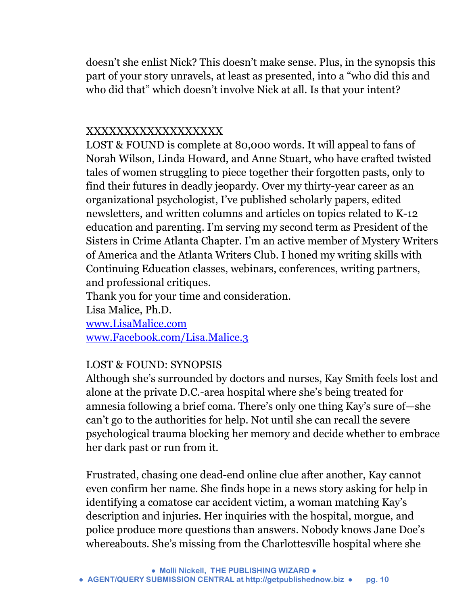doesn't she enlist Nick? This doesn't make sense. Plus, in the synopsis this part of your story unravels, at least as presented, into a "who did this and who did that" which doesn't involve Nick at all. Is that your intent?

## XXXXXXXXXXXXXXXXXX

LOST & FOUND is complete at 80,000 words. It will appeal to fans of Norah Wilson, Linda Howard, and Anne Stuart, who have crafted twisted tales of women struggling to piece together their forgotten pasts, only to find their futures in deadly jeopardy. Over my thirty-year career as an organizational psychologist, I've published scholarly papers, edited newsletters, and written columns and articles on topics related to K-12 education and parenting. I'm serving my second term as President of the Sisters in Crime Atlanta Chapter. I'm an active member of Mystery Writers of America and the Atlanta Writers Club. I honed my writing skills with Continuing Education classes, webinars, conferences, writing partners, and professional critiques.

Thank you for your time and consideration.

Lisa Malice, Ph.D.

[www.LisaMalice.com](http://www.lisamalice.com/) [www.Facebook.com/Lisa.Malice.3](http://www.facebook.com/Lisa.Malice.3)

## LOST & FOUND: SYNOPSIS

Although she's surrounded by doctors and nurses, Kay Smith feels lost and alone at the private D.C.-area hospital where she's being treated for amnesia following a brief coma. There's only one thing Kay's sure of—she can't go to the authorities for help. Not until she can recall the severe psychological trauma blocking her memory and decide whether to embrace her dark past or run from it.

Frustrated, chasing one dead-end online clue after another, Kay cannot even confirm her name. She finds hope in a news story asking for help in identifying a comatose car accident victim, a woman matching Kay's description and injuries. Her inquiries with the hospital, morgue, and police produce more questions than answers. Nobody knows Jane Doe's whereabouts. She's missing from the Charlottesville hospital where she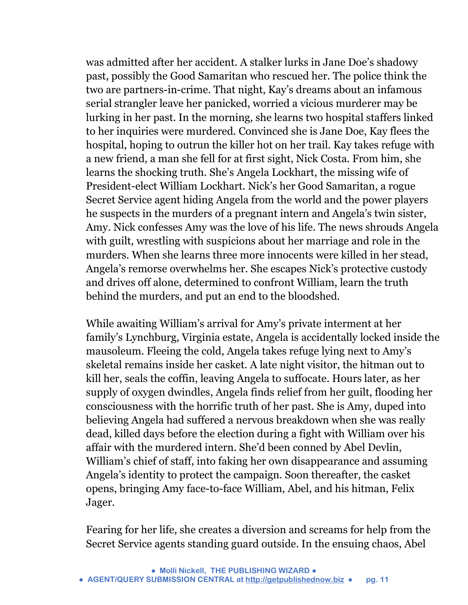was admitted after her accident. A stalker lurks in Jane Doe's shadowy past, possibly the Good Samaritan who rescued her. The police think the two are partners-in-crime. That night, Kay's dreams about an infamous serial strangler leave her panicked, worried a vicious murderer may be lurking in her past. In the morning, she learns two hospital staffers linked to her inquiries were murdered. Convinced she is Jane Doe, Kay flees the hospital, hoping to outrun the killer hot on her trail. Kay takes refuge with a new friend, a man she fell for at first sight, Nick Costa. From him, she learns the shocking truth. She's Angela Lockhart, the missing wife of President-elect William Lockhart. Nick's her Good Samaritan, a rogue Secret Service agent hiding Angela from the world and the power players he suspects in the murders of a pregnant intern and Angela's twin sister, Amy. Nick confesses Amy was the love of his life. The news shrouds Angela with guilt, wrestling with suspicions about her marriage and role in the murders. When she learns three more innocents were killed in her stead, Angela's remorse overwhelms her. She escapes Nick's protective custody and drives off alone, determined to confront William, learn the truth behind the murders, and put an end to the bloodshed.

While awaiting William's arrival for Amy's private interment at her family's Lynchburg, Virginia estate, Angela is accidentally locked inside the mausoleum. Fleeing the cold, Angela takes refuge lying next to Amy's skeletal remains inside her casket. A late night visitor, the hitman out to kill her, seals the coffin, leaving Angela to suffocate. Hours later, as her supply of oxygen dwindles, Angela finds relief from her guilt, flooding her consciousness with the horrific truth of her past. She is Amy, duped into believing Angela had suffered a nervous breakdown when she was really dead, killed days before the election during a fight with William over his affair with the murdered intern. She'd been conned by Abel Devlin, William's chief of staff, into faking her own disappearance and assuming Angela's identity to protect the campaign. Soon thereafter, the casket opens, bringing Amy face-to-face William, Abel, and his hitman, Felix Jager.

Fearing for her life, she creates a diversion and screams for help from the Secret Service agents standing guard outside. In the ensuing chaos, Abel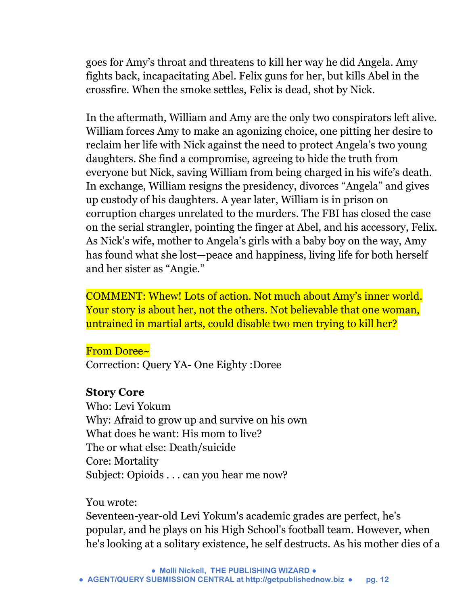goes for Amy's throat and threatens to kill her way he did Angela. Amy fights back, incapacitating Abel. Felix guns for her, but kills Abel in the crossfire. When the smoke settles, Felix is dead, shot by Nick.

In the aftermath, William and Amy are the only two conspirators left alive. William forces Amy to make an agonizing choice, one pitting her desire to reclaim her life with Nick against the need to protect Angela's two young daughters. She find a compromise, agreeing to hide the truth from everyone but Nick, saving William from being charged in his wife's death. In exchange, William resigns the presidency, divorces "Angela" and gives up custody of his daughters. A year later, William is in prison on corruption charges unrelated to the murders. The FBI has closed the case on the serial strangler, pointing the finger at Abel, and his accessory, Felix. As Nick's wife, mother to Angela's girls with a baby boy on the way, Amy has found what she lost—peace and happiness, living life for both herself and her sister as "Angie."

COMMENT: Whew! Lots of action. Not much about Amy's inner world. Your story is about her, not the others. Not believable that one woman, untrained in martial arts, could disable two men trying to kill her?

#### From Doree~

Correction: Query YA- One Eighty :Doree

#### **Story Core**

Who: Levi Yokum Why: Afraid to grow up and survive on his own What does he want: His mom to live? The or what else: Death/suicide Core: Mortality Subject: Opioids . . . can you hear me now?

#### You wrote:

Seventeen-year-old Levi Yokum's academic grades are perfect, he's popular, and he plays on his High School's football team. However, when he's looking at a solitary existence, he self destructs. As his mother dies of a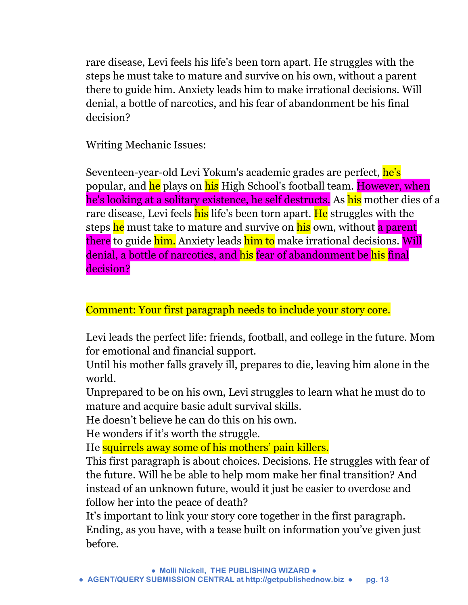rare disease, Levi feels his life's been torn apart. He struggles with the steps he must take to mature and survive on his own, without a parent there to guide him. Anxiety leads him to make irrational decisions. Will denial, a bottle of narcotics, and his fear of abandonment be his final decision?

Writing Mechanic Issues:

Seventeen-year-old Levi Yokum's academic grades are perfect, he's popular, and he plays on his High School's football team. However, when he's looking at a solitary existence, he self destructs. As his mother dies of a rare disease, Levi feels his life's been torn apart. He struggles with the steps he must take to mature and survive on his own, without a parent there to guide him. Anxiety leads him to make irrational decisions. Will denial, a bottle of narcotics, and his fear of abandonment be his final decision?

Comment: Your first paragraph needs to include your story core.

Levi leads the perfect life: friends, football, and college in the future. Mom for emotional and financial support.

Until his mother falls gravely ill, prepares to die, leaving him alone in the world.

Unprepared to be on his own, Levi struggles to learn what he must do to mature and acquire basic adult survival skills.

He doesn't believe he can do this on his own.

He wonders if it's worth the struggle.

He squirrels away some of his mothers' pain killers.

This first paragraph is about choices. Decisions. He struggles with fear of the future. Will he be able to help mom make her final transition? And instead of an unknown future, would it just be easier to overdose and follow her into the peace of death?

It's important to link your story core together in the first paragraph. Ending, as you have, with a tease built on information you've given just before.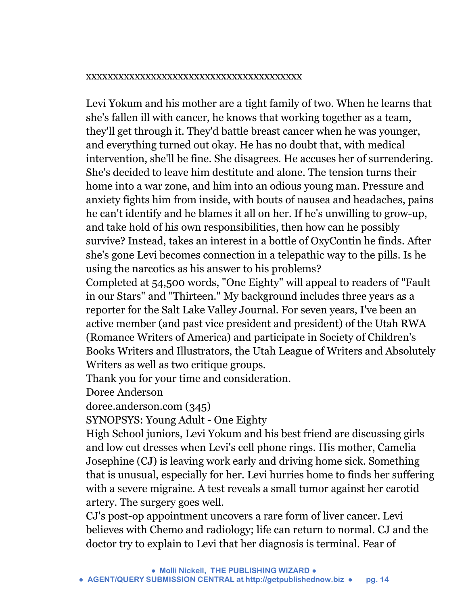#### xxxxxxxxxxxxxxxxxxxxxxxxxxxxxxxxxxxxxxxx

Levi Yokum and his mother are a tight family of two. When he learns that she's fallen ill with cancer, he knows that working together as a team, they'll get through it. They'd battle breast cancer when he was younger, and everything turned out okay. He has no doubt that, with medical intervention, she'll be fine. She disagrees. He accuses her of surrendering. She's decided to leave him destitute and alone. The tension turns their home into a war zone, and him into an odious young man. Pressure and anxiety fights him from inside, with bouts of nausea and headaches, pains he can't identify and he blames it all on her. If he's unwilling to grow-up, and take hold of his own responsibilities, then how can he possibly survive? Instead, takes an interest in a bottle of OxyContin he finds. After she's gone Levi becomes connection in a telepathic way to the pills. Is he using the narcotics as his answer to his problems?

Completed at 54,500 words, "One Eighty" will appeal to readers of "Fault in our Stars" and "Thirteen." My background includes three years as a reporter for the Salt Lake Valley Journal. For seven years, I've been an active member (and past vice president and president) of the Utah RWA (Romance Writers of America) and participate in Society of Children's Books Writers and Illustrators, the Utah League of Writers and Absolutely Writers as well as two critique groups.

Thank you for your time and consideration.

Doree Anderson

doree.anderson.com (345)

SYNOPSYS: Young Adult - One Eighty

High School juniors, Levi Yokum and his best friend are discussing girls and low cut dresses when Levi's cell phone rings. His mother, Camelia Josephine (CJ) is leaving work early and driving home sick. Something that is unusual, especially for her. Levi hurries home to finds her suffering with a severe migraine. A test reveals a small tumor against her carotid artery. The surgery goes well.

CJ's post-op appointment uncovers a rare form of liver cancer. Levi believes with Chemo and radiology; life can return to normal. CJ and the doctor try to explain to Levi that her diagnosis is terminal. Fear of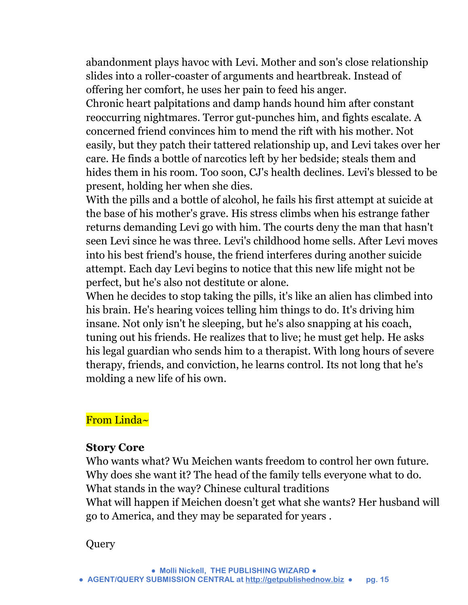abandonment plays havoc with Levi. Mother and son's close relationship slides into a roller-coaster of arguments and heartbreak. Instead of offering her comfort, he uses her pain to feed his anger.

Chronic heart palpitations and damp hands hound him after constant reoccurring nightmares. Terror gut-punches him, and fights escalate. A concerned friend convinces him to mend the rift with his mother. Not easily, but they patch their tattered relationship up, and Levi takes over her care. He finds a bottle of narcotics left by her bedside; steals them and hides them in his room. Too soon, CJ's health declines. Levi's blessed to be present, holding her when she dies.

With the pills and a bottle of alcohol, he fails his first attempt at suicide at the base of his mother's grave. His stress climbs when his estrange father returns demanding Levi go with him. The courts deny the man that hasn't seen Levi since he was three. Levi's childhood home sells. After Levi moves into his best friend's house, the friend interferes during another suicide attempt. Each day Levi begins to notice that this new life might not be perfect, but he's also not destitute or alone.

When he decides to stop taking the pills, it's like an alien has climbed into his brain. He's hearing voices telling him things to do. It's driving him insane. Not only isn't he sleeping, but he's also snapping at his coach, tuning out his friends. He realizes that to live; he must get help. He asks his legal guardian who sends him to a therapist. With long hours of severe therapy, friends, and conviction, he learns control. Its not long that he's molding a new life of his own.

## From Linda~

#### **Story Core**

Who wants what? Wu Meichen wants freedom to control her own future. Why does she want it? The head of the family tells everyone what to do. What stands in the way? Chinese cultural traditions What will happen if Meichen doesn't get what she wants? Her husband will go to America, and they may be separated for years .

**Query**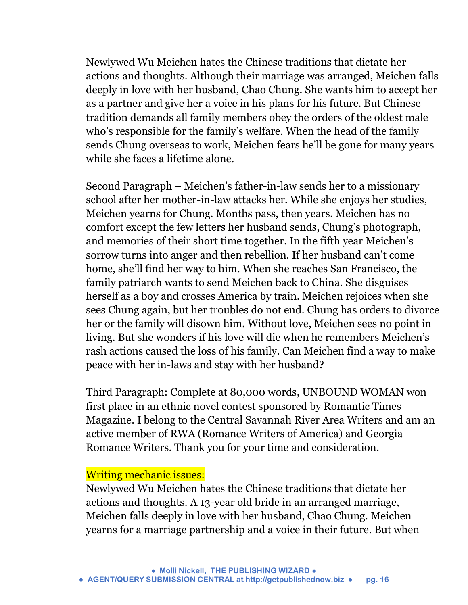Newlywed Wu Meichen hates the Chinese traditions that dictate her actions and thoughts. Although their marriage was arranged, Meichen falls deeply in love with her husband, Chao Chung. She wants him to accept her as a partner and give her a voice in his plans for his future. But Chinese tradition demands all family members obey the orders of the oldest male who's responsible for the family's welfare. When the head of the family sends Chung overseas to work, Meichen fears he'll be gone for many years while she faces a lifetime alone.

Second Paragraph – Meichen's father-in-law sends her to a missionary school after her mother-in-law attacks her. While she enjoys her studies, Meichen yearns for Chung. Months pass, then years. Meichen has no comfort except the few letters her husband sends, Chung's photograph, and memories of their short time together. In the fifth year Meichen's sorrow turns into anger and then rebellion. If her husband can't come home, she'll find her way to him. When she reaches San Francisco, the family patriarch wants to send Meichen back to China. She disguises herself as a boy and crosses America by train. Meichen rejoices when she sees Chung again, but her troubles do not end. Chung has orders to divorce her or the family will disown him. Without love, Meichen sees no point in living. But she wonders if his love will die when he remembers Meichen's rash actions caused the loss of his family. Can Meichen find a way to make peace with her in-laws and stay with her husband?

Third Paragraph: Complete at 80,000 words, UNBOUND WOMAN won first place in an ethnic novel contest sponsored by Romantic Times Magazine. I belong to the Central Savannah River Area Writers and am an active member of RWA (Romance Writers of America) and Georgia Romance Writers. Thank you for your time and consideration.

#### Writing mechanic issues:

Newlywed Wu Meichen hates the Chinese traditions that dictate her actions and thoughts. A 13-year old bride in an arranged marriage, Meichen falls deeply in love with her husband, Chao Chung. Meichen yearns for a marriage partnership and a voice in their future. But when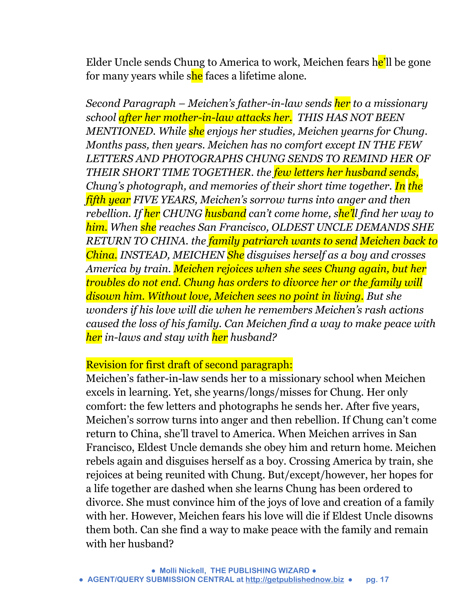Elder Uncle sends Chung to America to work, Meichen fears he'll be gone for many years while she faces a lifetime alone.

*Second Paragraph – Meichen's father-in-law sends her to a missionary school after her mother-in-law attacks her. THIS HAS NOT BEEN MENTIONED. While she enjoys her studies, Meichen yearns for Chung. Months pass, then years. Meichen has no comfort except IN THE FEW LETTERS AND PHOTOGRAPHS CHUNG SENDS TO REMIND HER OF THEIR SHORT TIME TOGETHER. the few letters her husband sends, Chung's photograph, and memories of their short time together. In the fifth year FIVE YEARS, Meichen's sorrow turns into anger and then rebellion. If her CHUNG husband can't come home, she'll find her way to him. When she reaches San Francisco, OLDEST UNCLE DEMANDS SHE RETURN TO CHINA. the family patriarch wants to send Meichen back to China. INSTEAD, MEICHEN She disguises herself as a boy and crosses America by train. Meichen rejoices when she sees Chung again, but her troubles do not end. Chung has orders to divorce her or the family will disown him. Without love, Meichen sees no point in living. But she wonders if his love will die when he remembers Meichen's rash actions caused the loss of his family. Can Meichen find a way to make peace with her in-laws and stay with her husband?* 

## Revision for first draft of second paragraph:

Meichen's father-in-law sends her to a missionary school when Meichen excels in learning. Yet, she yearns/longs/misses for Chung. Her only comfort: the few letters and photographs he sends her. After five years, Meichen's sorrow turns into anger and then rebellion. If Chung can't come return to China, she'll travel to America. When Meichen arrives in San Francisco, Eldest Uncle demands she obey him and return home. Meichen rebels again and disguises herself as a boy. Crossing America by train, she rejoices at being reunited with Chung. But/except/however, her hopes for a life together are dashed when she learns Chung has been ordered to divorce. She must convince him of the joys of love and creation of a family with her. However, Meichen fears his love will die if Eldest Uncle disowns them both. Can she find a way to make peace with the family and remain with her husband?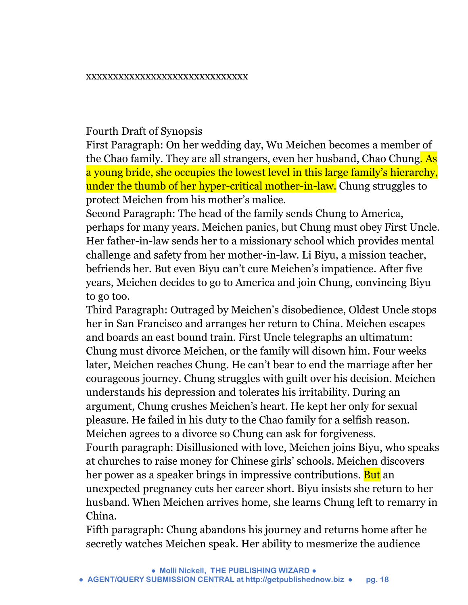#### xxxxxxxxxxxxxxxxxxxxxxxxxxxxxx

#### Fourth Draft of Synopsis

First Paragraph: On her wedding day, Wu Meichen becomes a member of the Chao family. They are all strangers, even her husband, Chao Chung. As a young bride, she occupies the lowest level in this large family's hierarchy, under the thumb of her hyper-critical mother-in-law. Chung struggles to protect Meichen from his mother's malice.

Second Paragraph: The head of the family sends Chung to America, perhaps for many years. Meichen panics, but Chung must obey First Uncle. Her father-in-law sends her to a missionary school which provides mental challenge and safety from her mother-in-law. Li Biyu, a mission teacher, befriends her. But even Biyu can't cure Meichen's impatience. After five years, Meichen decides to go to America and join Chung, convincing Biyu to go too.

Third Paragraph: Outraged by Meichen's disobedience, Oldest Uncle stops her in San Francisco and arranges her return to China. Meichen escapes and boards an east bound train. First Uncle telegraphs an ultimatum: Chung must divorce Meichen, or the family will disown him. Four weeks later, Meichen reaches Chung. He can't bear to end the marriage after her courageous journey. Chung struggles with guilt over his decision. Meichen understands his depression and tolerates his irritability. During an argument, Chung crushes Meichen's heart. He kept her only for sexual pleasure. He failed in his duty to the Chao family for a selfish reason. Meichen agrees to a divorce so Chung can ask for forgiveness. Fourth paragraph: Disillusioned with love, Meichen joins Biyu, who speaks at churches to raise money for Chinese girls' schools. Meichen discovers her power as a speaker brings in impressive contributions. But an unexpected pregnancy cuts her career short. Biyu insists she return to her husband. When Meichen arrives home, she learns Chung left to remarry in China.

Fifth paragraph: Chung abandons his journey and returns home after he secretly watches Meichen speak. Her ability to mesmerize the audience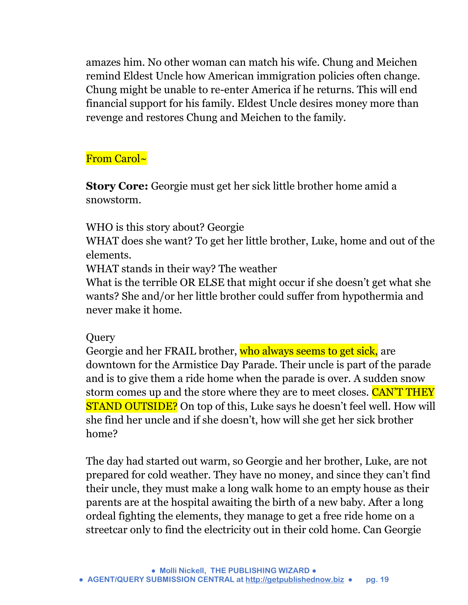amazes him. No other woman can match his wife. Chung and Meichen remind Eldest Uncle how American immigration policies often change. Chung might be unable to re-enter America if he returns. This will end financial support for his family. Eldest Uncle desires money more than revenge and restores Chung and Meichen to the family.

## From Carol~

**Story Core:** Georgie must get her sick little brother home amid a snowstorm.

WHO is this story about? Georgie

WHAT does she want? To get her little brother, Luke, home and out of the elements.

WHAT stands in their way? The weather

What is the terrible OR ELSE that might occur if she doesn't get what she wants? She and/or her little brother could suffer from hypothermia and never make it home.

## **Query**

Georgie and her FRAIL brother, who always seems to get sick, are downtown for the Armistice Day Parade. Their uncle is part of the parade and is to give them a ride home when the parade is over. A sudden snow storm comes up and the store where they are to meet closes. CAN'T THEY **STAND OUTSIDE?** On top of this, Luke says he doesn't feel well. How will she find her uncle and if she doesn't, how will she get her sick brother home?

The day had started out warm, so Georgie and her brother, Luke, are not prepared for cold weather. They have no money, and since they can't find their uncle, they must make a long walk home to an empty house as their parents are at the hospital awaiting the birth of a new baby. After a long ordeal fighting the elements, they manage to get a free ride home on a streetcar only to find the electricity out in their cold home. Can Georgie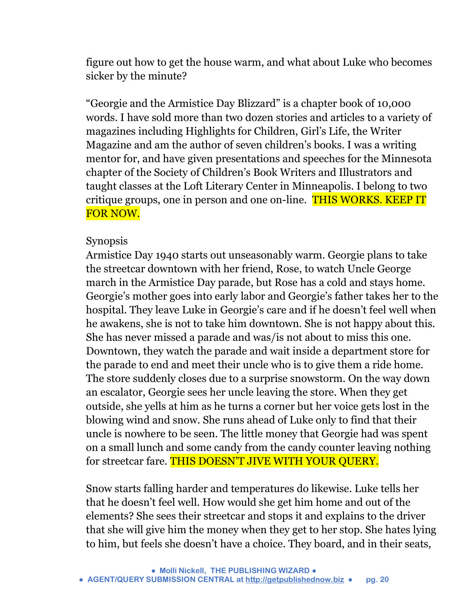figure out how to get the house warm, and what about Luke who becomes sicker by the minute?

"Georgie and the Armistice Day Blizzard" is a chapter book of 10,000 words. I have sold more than two dozen stories and articles to a variety of magazines including Highlights for Children, Girl's Life, the Writer Magazine and am the author of seven children's books. I was a writing mentor for, and have given presentations and speeches for the Minnesota chapter of the Society of Children's Book Writers and Illustrators and taught classes at the Loft Literary Center in Minneapolis. I belong to two critique groups, one in person and one on-line. THIS WORKS. KEEP IT FOR NOW.

## Synopsis

Armistice Day 1940 starts out unseasonably warm. Georgie plans to take the streetcar downtown with her friend, Rose, to watch Uncle George march in the Armistice Day parade, but Rose has a cold and stays home. Georgie's mother goes into early labor and Georgie's father takes her to the hospital. They leave Luke in Georgie's care and if he doesn't feel well when he awakens, she is not to take him downtown. She is not happy about this. She has never missed a parade and was/is not about to miss this one. Downtown, they watch the parade and wait inside a department store for the parade to end and meet their uncle who is to give them a ride home. The store suddenly closes due to a surprise snowstorm. On the way down an escalator, Georgie sees her uncle leaving the store. When they get outside, she yells at him as he turns a corner but her voice gets lost in the blowing wind and snow. She runs ahead of Luke only to find that their uncle is nowhere to be seen. The little money that Georgie had was spent on a small lunch and some candy from the candy counter leaving nothing for streetcar fare. THIS DOESN'T JIVE WITH YOUR QUERY.

Snow starts falling harder and temperatures do likewise. Luke tells her that he doesn't feel well. How would she get him home and out of the elements? She sees their streetcar and stops it and explains to the driver that she will give him the money when they get to her stop. She hates lying to him, but feels she doesn't have a choice. They board, and in their seats,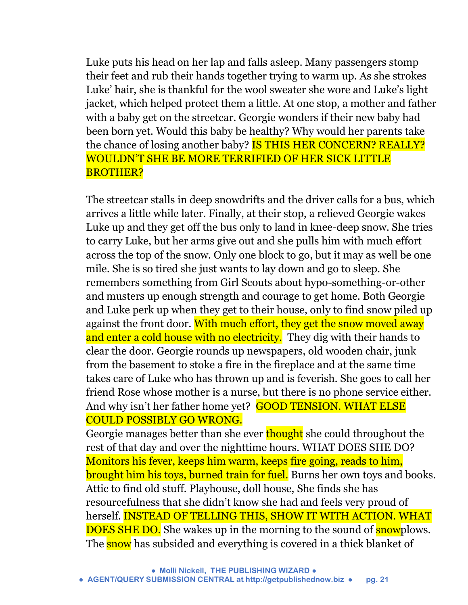Luke puts his head on her lap and falls asleep. Many passengers stomp their feet and rub their hands together trying to warm up. As she strokes Luke' hair, she is thankful for the wool sweater she wore and Luke's light jacket, which helped protect them a little. At one stop, a mother and father with a baby get on the streetcar. Georgie wonders if their new baby had been born yet. Would this baby be healthy? Why would her parents take the chance of losing another baby? **IS THIS HER CONCERN? REALLY?** WOULDN'T SHE BE MORE TERRIFIED OF HER SICK LITTLE BROTHER?

The streetcar stalls in deep snowdrifts and the driver calls for a bus, which arrives a little while later. Finally, at their stop, a relieved Georgie wakes Luke up and they get off the bus only to land in knee-deep snow. She tries to carry Luke, but her arms give out and she pulls him with much effort across the top of the snow. Only one block to go, but it may as well be one mile. She is so tired she just wants to lay down and go to sleep. She remembers something from Girl Scouts about hypo-something-or-other and musters up enough strength and courage to get home. Both Georgie and Luke perk up when they get to their house, only to find snow piled up against the front door. With much effort, they get the snow moved away and enter a cold house with no electricity. They dig with their hands to clear the door. Georgie rounds up newspapers, old wooden chair, junk from the basement to stoke a fire in the fireplace and at the same time takes care of Luke who has thrown up and is feverish. She goes to call her friend Rose whose mother is a nurse, but there is no phone service either. And why isn't her father home yet? GOOD TENSION. WHAT ELSE COULD POSSIBLY GO WRONG.

Georgie manages better than she ever thought she could throughout the rest of that day and over the nighttime hours. WHAT DOES SHE DO? Monitors his fever, keeps him warm, keeps fire going, reads to him, brought him his toys, burned train for fuel. Burns her own toys and books. Attic to find old stuff. Playhouse, doll house, She finds she has resourcefulness that she didn't know she had and feels very proud of herself. INSTEAD OF TELLING THIS, SHOW IT WITH ACTION. WHAT DOES SHE DO. She wakes up in the morning to the sound of snowplows. The snow has subsided and everything is covered in a thick blanket of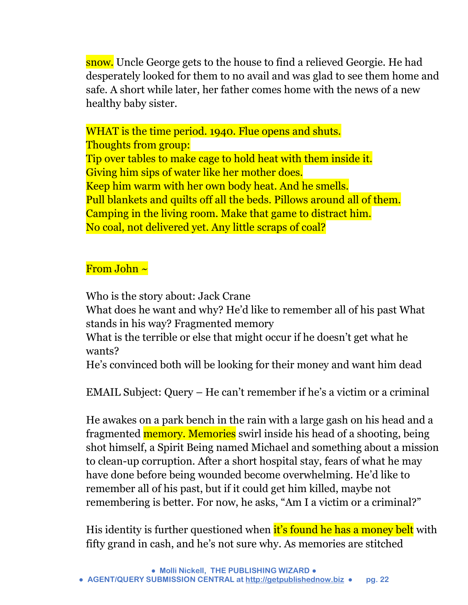snow. Uncle George gets to the house to find a relieved Georgie. He had desperately looked for them to no avail and was glad to see them home and safe. A short while later, her father comes home with the news of a new healthy baby sister.

WHAT is the time period. 1940. Flue opens and shuts. Thoughts from group: Tip over tables to make cage to hold heat with them inside it. Giving him sips of water like her mother does. Keep him warm with her own body heat. And he smells. Pull blankets and quilts off all the beds. Pillows around all of them. Camping in the living room. Make that game to distract him. No coal, not delivered yet. Any little scraps of coal?

## From John ~

Who is the story about: Jack Crane

What does he want and why? He'd like to remember all of his past What stands in his way? Fragmented memory

What is the terrible or else that might occur if he doesn't get what he wants?

He's convinced both will be looking for their money and want him dead

EMAIL Subject: Query – He can't remember if he's a victim or a criminal

He awakes on a park bench in the rain with a large gash on his head and a fragmented **memory. Memories** swirl inside his head of a shooting, being shot himself, a Spirit Being named Michael and something about a mission to clean-up corruption. After a short hospital stay, fears of what he may have done before being wounded become overwhelming. He'd like to remember all of his past, but if it could get him killed, maybe not remembering is better. For now, he asks, "Am I a victim or a criminal?"

His identity is further questioned when it's found he has a money belt with fifty grand in cash, and he's not sure why. As memories are stitched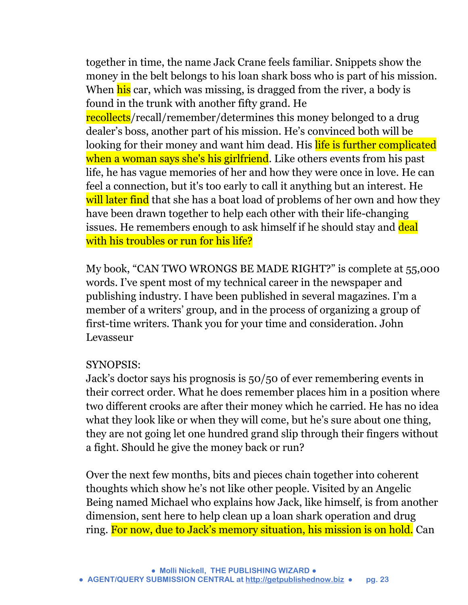together in time, the name Jack Crane feels familiar. Snippets show the money in the belt belongs to his loan shark boss who is part of his mission. When his car, which was missing, is dragged from the river, a body is found in the trunk with another fifty grand. He recollects/recall/remember/determines this money belonged to a drug dealer's boss, another part of his mission. He's convinced both will be looking for their money and want him dead. His life is further complicated when a woman says she's his girlfriend. Like others events from his past life, he has vague memories of her and how they were once in love. He can feel a connection, but it's too early to call it anything but an interest. He will later find that she has a boat load of problems of her own and how they have been drawn together to help each other with their life-changing issues. He remembers enough to ask himself if he should stay and deal with his troubles or run for his life?

My book, "CAN TWO WRONGS BE MADE RIGHT?" is complete at 55,000 words. I've spent most of my technical career in the newspaper and publishing industry. I have been published in several magazines. I'm a member of a writers' group, and in the process of organizing a group of first-time writers. Thank you for your time and consideration. John Levasseur

## SYNOPSIS:

Jack's doctor says his prognosis is 50/50 of ever remembering events in their correct order. What he does remember places him in a position where two different crooks are after their money which he carried. He has no idea what they look like or when they will come, but he's sure about one thing, they are not going let one hundred grand slip through their fingers without a fight. Should he give the money back or run?

Over the next few months, bits and pieces chain together into coherent thoughts which show he's not like other people. Visited by an Angelic Being named Michael who explains how Jack, like himself, is from another dimension, sent here to help clean up a loan shark operation and drug ring. For now, due to Jack's memory situation, his mission is on hold. Can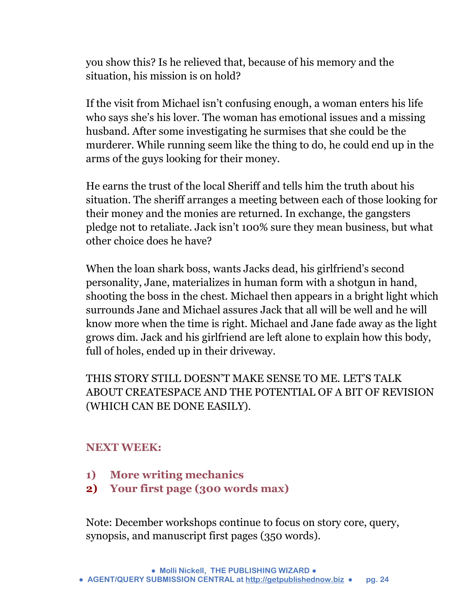you show this? Is he relieved that, because of his memory and the situation, his mission is on hold?

If the visit from Michael isn't confusing enough, a woman enters his life who says she's his lover. The woman has emotional issues and a missing husband. After some investigating he surmises that she could be the murderer. While running seem like the thing to do, he could end up in the arms of the guys looking for their money.

He earns the trust of the local Sheriff and tells him the truth about his situation. The sheriff arranges a meeting between each of those looking for their money and the monies are returned. In exchange, the gangsters pledge not to retaliate. Jack isn't 100% sure they mean business, but what other choice does he have?

When the loan shark boss, wants Jacks dead, his girlfriend's second personality, Jane, materializes in human form with a shotgun in hand, shooting the boss in the chest. Michael then appears in a bright light which surrounds Jane and Michael assures Jack that all will be well and he will know more when the time is right. Michael and Jane fade away as the light grows dim. Jack and his girlfriend are left alone to explain how this body, full of holes, ended up in their driveway.

THIS STORY STILL DOESN'T MAKE SENSE TO ME. LET'S TALK ABOUT CREATESPACE AND THE POTENTIAL OF A BIT OF REVISION (WHICH CAN BE DONE EASILY).

## **NEXT WEEK:**

- **1) More writing mechanics**
- **2) Your first page (300 words max)**

Note: December workshops continue to focus on story core, query, synopsis, and manuscript first pages (350 words).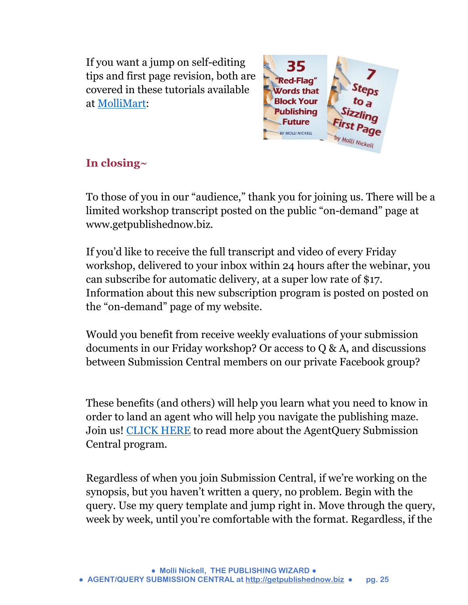If you want a jump on self-editing tips and first page revision, both are covered in these tutorials available at [MolliMart:](http://www.getpublishednow.biz/mollimart.html)



## **In closing~**

To those of you in our "audience," thank you for joining us. There will be a limited workshop transcript posted on the public "on-demand" page at www.getpublishednow.biz.

If you'd like to receive the full transcript and video of every Friday workshop, delivered to your inbox within 24 hours after the webinar, you can subscribe for automatic delivery, at a super low rate of \$17. Information about this new subscription program is posted on posted on the "on-demand" page of my website.

Would you benefit from receive weekly evaluations of your submission documents in our Friday workshop? Or access to Q & A, and discussions between Submission Central members on our private Facebook group?

These benefits (and others) will help you learn what you need to know in order to land an agent who will help you navigate the publishing maze. Join us! [CLICK HERE](http://www.getpublishednow.biz/agentquery-submission-central.html) to read more about the AgentQuery Submission Central program.

Regardless of when you join Submission Central, if we're working on the synopsis, but you haven't written a query, no problem. Begin with the query. Use my query template and jump right in. Move through the query, week by week, until you're comfortable with the format. Regardless, if the